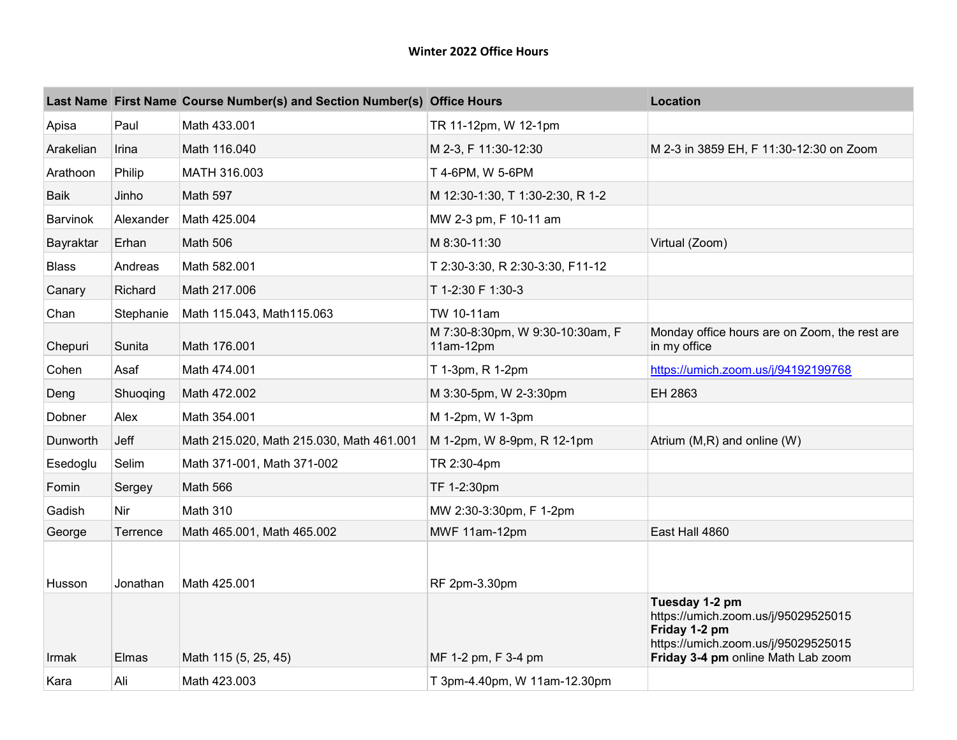## **Winter 2022 Office Hours**

|                 |           | Last Name First Name Course Number(s) and Section Number(s) Office Hours |                                               | <b>Location</b>                                                                                                                                     |
|-----------------|-----------|--------------------------------------------------------------------------|-----------------------------------------------|-----------------------------------------------------------------------------------------------------------------------------------------------------|
| Apisa           | Paul      | Math 433.001                                                             | TR 11-12pm, W 12-1pm                          |                                                                                                                                                     |
| Arakelian       | Irina     | Math 116.040                                                             | M 2-3, F 11:30-12:30                          | M 2-3 in 3859 EH, F 11:30-12:30 on Zoom                                                                                                             |
| Arathoon        | Philip    | MATH 316.003                                                             | T 4-6PM, W 5-6PM                              |                                                                                                                                                     |
| <b>Baik</b>     | Jinho     | Math 597                                                                 | M 12:30-1:30, T 1:30-2:30, R 1-2              |                                                                                                                                                     |
| <b>Barvinok</b> | Alexander | Math 425.004                                                             | MW 2-3 pm, F 10-11 am                         |                                                                                                                                                     |
| Bayraktar       | Erhan     | <b>Math 506</b>                                                          | M 8:30-11:30                                  | Virtual (Zoom)                                                                                                                                      |
| <b>Blass</b>    | Andreas   | Math 582.001                                                             | T 2:30-3:30, R 2:30-3:30, F11-12              |                                                                                                                                                     |
| Canary          | Richard   | Math 217.006                                                             | T 1-2:30 F 1:30-3                             |                                                                                                                                                     |
| Chan            | Stephanie | Math 115.043, Math115.063                                                | TW 10-11am                                    |                                                                                                                                                     |
| Chepuri         | Sunita    | Math 176.001                                                             | M 7:30-8:30pm, W 9:30-10:30am, F<br>11am-12pm | Monday office hours are on Zoom, the rest are<br>in my office                                                                                       |
| Cohen           | Asaf      | Math 474.001                                                             | T 1-3pm, R 1-2pm                              | https://umich.zoom.us/j/94192199768                                                                                                                 |
| Deng            | Shuoqing  | Math 472.002                                                             | M 3:30-5pm, W 2-3:30pm                        | EH 2863                                                                                                                                             |
| Dobner          | Alex      | Math 354.001                                                             | M 1-2pm, W 1-3pm                              |                                                                                                                                                     |
| Dunworth        | Jeff      | Math 215.020, Math 215.030, Math 461.001                                 | M 1-2pm, W 8-9pm, R 12-1pm                    | Atrium (M,R) and online (W)                                                                                                                         |
| Esedoglu        | Selim     | Math 371-001, Math 371-002                                               | TR 2:30-4pm                                   |                                                                                                                                                     |
| Fomin           | Sergey    | Math 566                                                                 | TF 1-2:30pm                                   |                                                                                                                                                     |
| Gadish          | Nir       | Math 310                                                                 | MW 2:30-3:30pm, F 1-2pm                       |                                                                                                                                                     |
| George          | Terrence  | Math 465.001, Math 465.002                                               | MWF 11am-12pm                                 | East Hall 4860                                                                                                                                      |
| Husson          | Jonathan  | Math 425.001                                                             | RF 2pm-3.30pm                                 |                                                                                                                                                     |
| Irmak           | Elmas     | Math 115 (5, 25, 45)                                                     | MF 1-2 pm, F 3-4 pm                           | Tuesday 1-2 pm<br>https://umich.zoom.us/j/95029525015<br>Friday 1-2 pm<br>https://umich.zoom.us/j/95029525015<br>Friday 3-4 pm online Math Lab zoom |
| Kara            | Ali       | Math 423.003                                                             | T 3pm-4.40pm, W 11am-12.30pm                  |                                                                                                                                                     |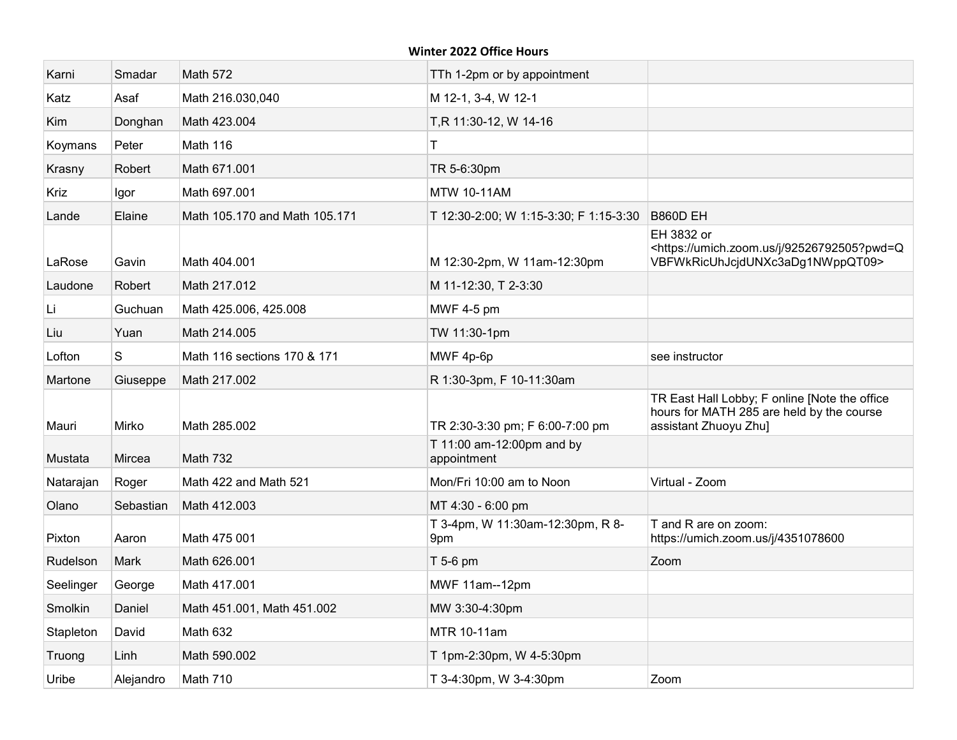## **Winter 2022 Office Hours**

| Karni       | Smadar    | <b>Math 572</b>               | TTh 1-2pm or by appointment              |                                                                                                                     |
|-------------|-----------|-------------------------------|------------------------------------------|---------------------------------------------------------------------------------------------------------------------|
| Katz        | Asaf      | Math 216.030,040              | M 12-1, 3-4, W 12-1                      |                                                                                                                     |
| Kim         | Donghan   | Math 423.004                  | T,R 11:30-12, W 14-16                    |                                                                                                                     |
| Koymans     | Peter     | Math 116                      | Τ                                        |                                                                                                                     |
| Krasny      | Robert    | Math 671.001                  | TR 5-6:30pm                              |                                                                                                                     |
| <b>Kriz</b> | Igor      | Math 697,001                  | <b>MTW 10-11AM</b>                       |                                                                                                                     |
| Lande       | Elaine    | Math 105.170 and Math 105.171 | T 12:30-2:00; W 1:15-3:30; F 1:15-3:30   | <b>B860D EH</b>                                                                                                     |
| LaRose      | Gavin     | Math 404.001                  | M 12:30-2pm, W 11am-12:30pm              | EH 3832 or<br><https: 92526792505?pwd="Q&lt;br" j="" umich.zoom.us="">VBFWkRicUhJcjdUNXc3aDg1NWppQT09&gt;</https:>  |
| Laudone     | Robert    | Math 217,012                  | M 11-12:30, T 2-3:30                     |                                                                                                                     |
| Li          | Guchuan   | Math 425.006, 425.008         | <b>MWF 4-5 pm</b>                        |                                                                                                                     |
| Liu         | Yuan      | Math 214.005                  | TW 11:30-1pm                             |                                                                                                                     |
| Lofton      | S         | Math 116 sections 170 & 171   | MWF 4p-6p                                | see instructor                                                                                                      |
| Martone     | Giuseppe  | Math 217.002                  | R 1:30-3pm, F 10-11:30am                 |                                                                                                                     |
| Mauri       | Mirko     | Math 285.002                  | TR 2:30-3:30 pm; F 6:00-7:00 pm          | TR East Hall Lobby; F online [Note the office<br>hours for MATH 285 are held by the course<br>assistant Zhuoyu Zhu] |
| Mustata     | Mircea    | <b>Math 732</b>               | T 11:00 am-12:00pm and by<br>appointment |                                                                                                                     |
| Natarajan   | Roger     | Math 422 and Math 521         | Mon/Fri 10:00 am to Noon                 | Virtual - Zoom                                                                                                      |
| Olano       | Sebastian | Math 412.003                  | MT 4:30 - 6:00 pm                        |                                                                                                                     |
| Pixton      | Aaron     | Math 475 001                  | T 3-4pm, W 11:30am-12:30pm, R 8-<br>9pm  | T and R are on zoom:<br>https://umich.zoom.us/j/4351078600                                                          |
| Rudelson    | Mark      | Math 626.001                  | T 5-6 pm                                 | Zoom                                                                                                                |
| Seelinger   | George    | Math 417.001                  | MWF 11am--12pm                           |                                                                                                                     |
| Smolkin     | Daniel    | Math 451.001, Math 451.002    | MW 3:30-4:30pm                           |                                                                                                                     |
| Stapleton   | David     | Math 632                      | MTR 10-11am                              |                                                                                                                     |
| Truong      | Linh      | Math 590.002                  | T 1pm-2:30pm, W 4-5:30pm                 |                                                                                                                     |
| Uribe       | Alejandro | Math 710                      | T 3-4:30pm, W 3-4:30pm                   | Zoom                                                                                                                |